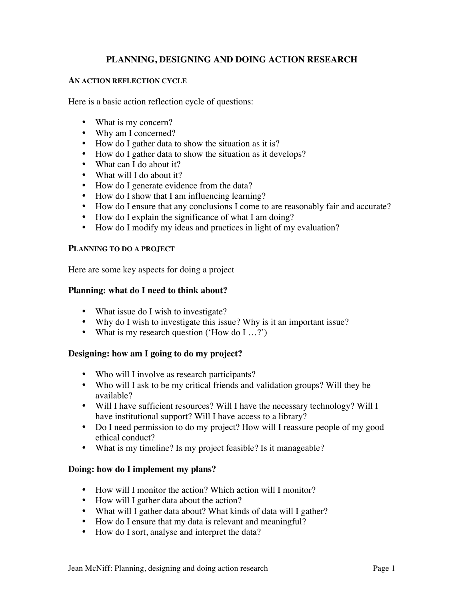# **PLANNING, DESIGNING AND DOING ACTION RESEARCH**

### **AN ACTION REFLECTION CYCLE**

Here is a basic action reflection cycle of questions:

- What is my concern?
- Why am I concerned?
- How do I gather data to show the situation as it is?
- How do I gather data to show the situation as it develops?
- What can I do about it?
- What will I do about it?
- How do I generate evidence from the data?
- How do I show that I am influencing learning?
- How do I ensure that any conclusions I come to are reasonably fair and accurate?
- How do I explain the significance of what I am doing?
- How do I modify my ideas and practices in light of my evaluation?

#### **PLANNING TO DO A PROJECT**

Here are some key aspects for doing a project

### **Planning: what do I need to think about?**

- What issue do I wish to investigate?
- Why do I wish to investigate this issue? Why is it an important issue?
- What is my research question ('How do I ...?')

### **Designing: how am I going to do my project?**

- Who will I involve as research participants?
- Who will I ask to be my critical friends and validation groups? Will they be available?
- Will I have sufficient resources? Will I have the necessary technology? Will I have institutional support? Will I have access to a library?
- Do I need permission to do my project? How will I reassure people of my good ethical conduct?
- What is my timeline? Is my project feasible? Is it manageable?

### **Doing: how do I implement my plans?**

- How will I monitor the action? Which action will I monitor?
- How will I gather data about the action?
- What will I gather data about? What kinds of data will I gather?
- How do I ensure that my data is relevant and meaningful?
- How do I sort, analyse and interpret the data?